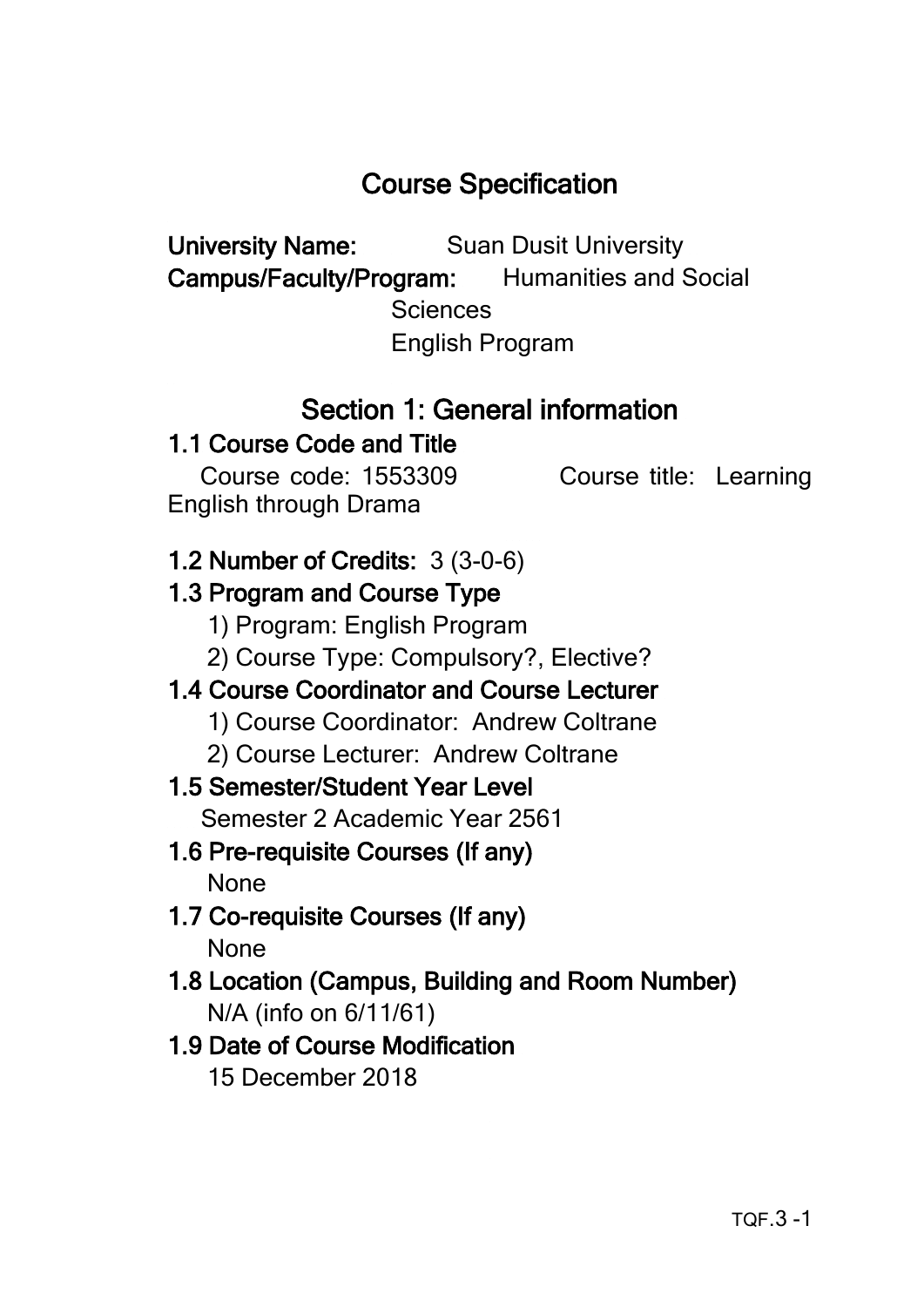# Course Specification

University Name: Suan Dusit University

Campus/Faculty/Program: Humanities and Social

**Sciences** 

English Program

# Section 1: General information

# 1.1 Course Code and Title

 Course code: 1553309 Course title: Learning English through Drama

# 1.2 Number of Credits: 3 (3-0-6)

# 1.3 Program and Course Type

- 1) Program: English Program
- 2) Course Type: Compulsory?, Elective?

# 1.4 Course Coordinator and Course Lecturer

- 1) Course Coordinator: Andrew Coltrane
- 2) Course Lecturer: Andrew Coltrane

# 1.5 Semester/Student Year Level

Semester 2 Academic Year 2561

- 1.6 Pre-requisite Courses (If any) None
- 1.7 Co-requisite Courses (If any) None
- 1.8 Location (Campus, Building and Room Number) N/A (info on 6/11/61)

# 1.9 Date of Course Modification 15 December 2018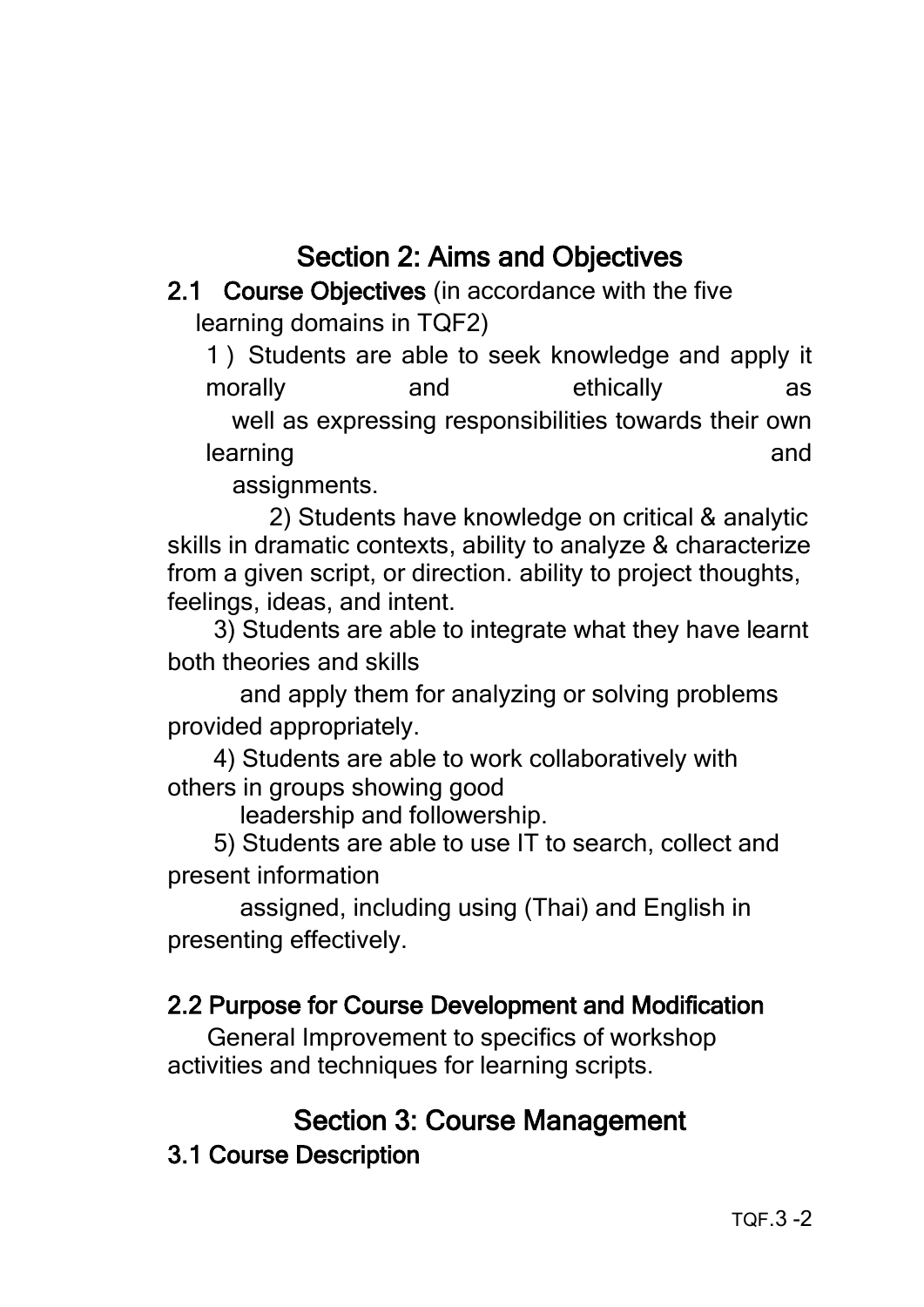# Section 2: Aims and Objectives

## 2.1 Course Objectives (in accordance with the five learning domains in TQF2)

1 ) Students are able to seek knowledge and apply it morally and ethically as well as expressing responsibilities towards their own learning and

assignments.

 2) Students have knowledge on critical & analytic skills in dramatic contexts, ability to analyze & characterize from a given script, or direction. ability to project thoughts, feelings, ideas, and intent.

 3) Students are able to integrate what they have learnt both theories and skills

 and apply them for analyzing or solving problems provided appropriately.

 4) Students are able to work collaboratively with others in groups showing good

leadership and followership.

 5) Students are able to use IT to search, collect and present information

 assigned, including using (Thai) and English in presenting effectively.

### 2.2 Purpose for Course Development and Modification

 General Improvement to specifics of workshop activities and techniques for learning scripts.

### Section 3: Course Management

3.1 Course Description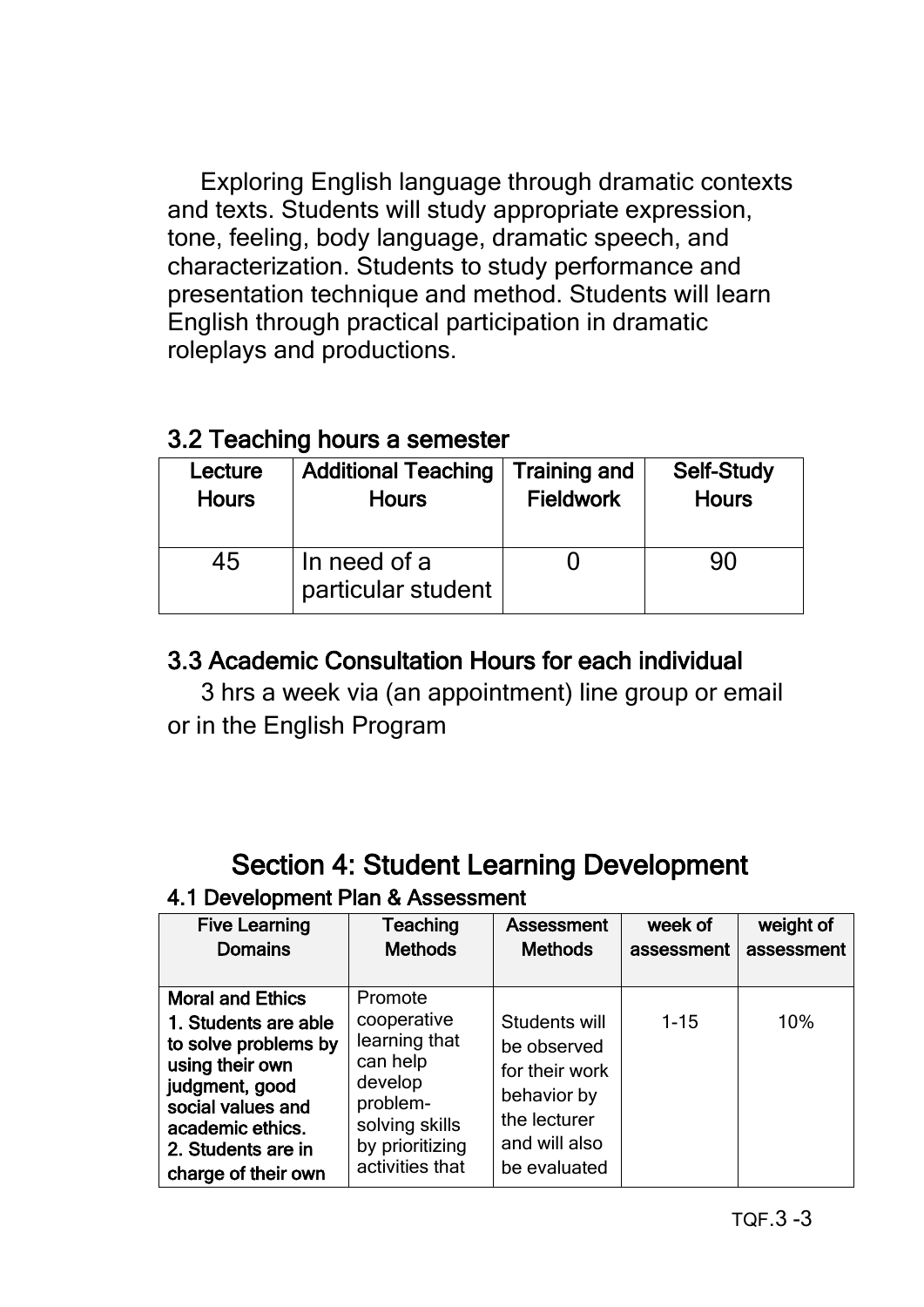Exploring English language through dramatic contexts and texts. Students will study appropriate expression, tone, feeling, body language, dramatic speech, and characterization. Students to study performance and presentation technique and method. Students will learn English through practical participation in dramatic roleplays and productions.

#### 3.2 Teaching hours a semester

| Lecture      | <b>Additional Teaching</b>         | <b>Training and</b> | <b>Self-Study</b> |
|--------------|------------------------------------|---------------------|-------------------|
| <b>Hours</b> | <b>Hours</b>                       | <b>Fieldwork</b>    | <b>Hours</b>      |
| 45           | In need of a<br>particular student |                     | 90                |

### 3.3 Academic Consultation Hours for each individual

 3 hrs a week via (an appointment) line group or email or in the English Program

# Section 4: Student Learning Development

#### 4.1 Development Plan & Assessment

| <b>Five Learning</b>                                                                                                                                                                               | Teaching                                                                                                                           | Assessment                                                                                                     | week of    | weight of  |
|----------------------------------------------------------------------------------------------------------------------------------------------------------------------------------------------------|------------------------------------------------------------------------------------------------------------------------------------|----------------------------------------------------------------------------------------------------------------|------------|------------|
| <b>Domains</b>                                                                                                                                                                                     | <b>Methods</b>                                                                                                                     | <b>Methods</b>                                                                                                 | assessment | assessment |
| <b>Moral and Ethics</b><br>1. Students are able<br>to solve problems by<br>using their own<br>judgment, good<br>social values and<br>academic ethics.<br>2. Students are in<br>charge of their own | Promote<br>cooperative<br>learning that<br>can help<br>develop<br>problem-<br>solving skills<br>by prioritizing<br>activities that | Students will<br>be observed<br>for their work<br>behavior by<br>the lecturer<br>and will also<br>be evaluated | $1 - 15$   | 10%        |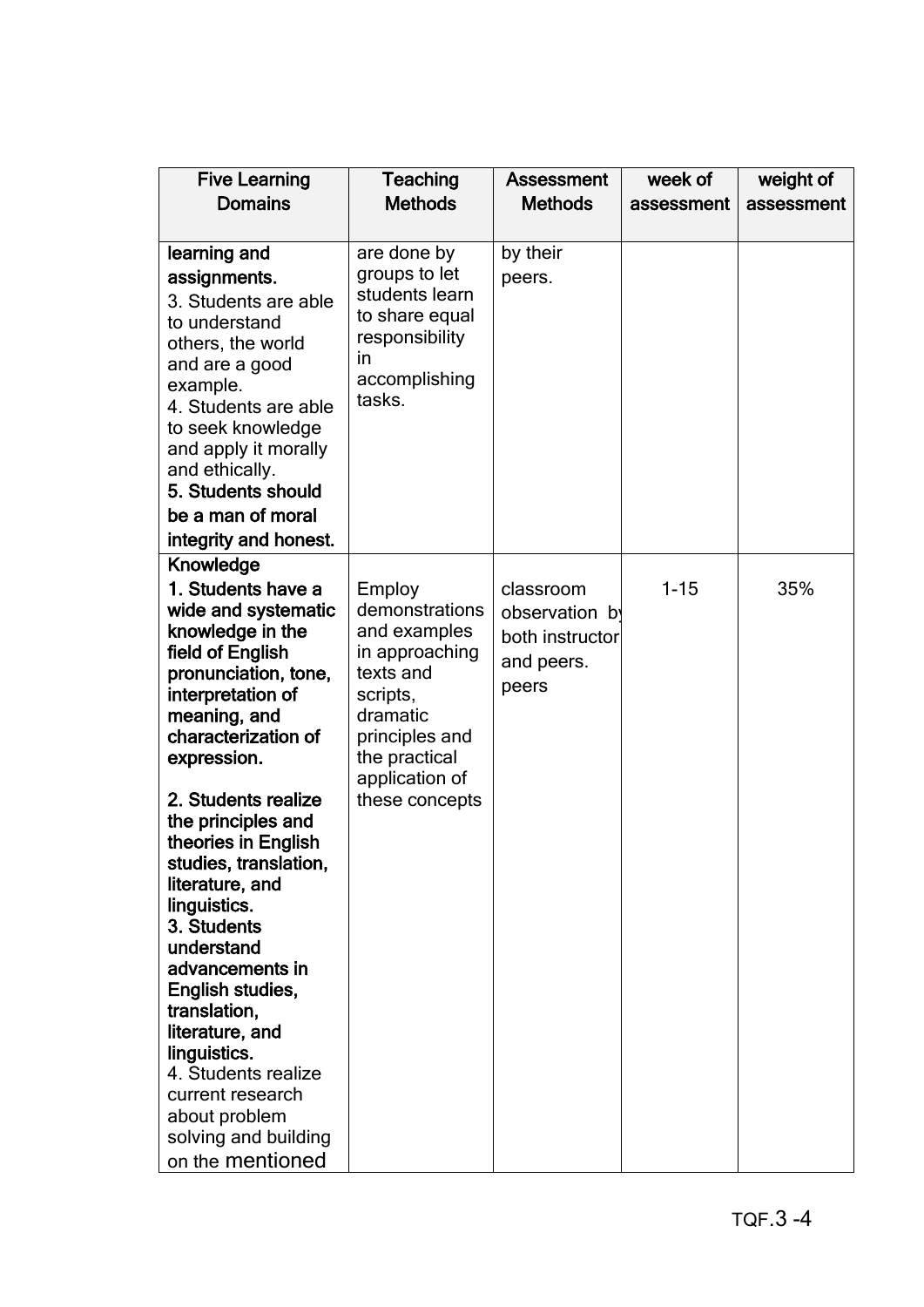| <b>Five Learning</b>                                                                                                                                                                                                                                                                                                                                                                                                                                                                                                                                | Teaching                                                                                                                                                               | <b>Assessment</b>                                                     | week of    | weight of  |
|-----------------------------------------------------------------------------------------------------------------------------------------------------------------------------------------------------------------------------------------------------------------------------------------------------------------------------------------------------------------------------------------------------------------------------------------------------------------------------------------------------------------------------------------------------|------------------------------------------------------------------------------------------------------------------------------------------------------------------------|-----------------------------------------------------------------------|------------|------------|
| <b>Domains</b>                                                                                                                                                                                                                                                                                                                                                                                                                                                                                                                                      | <b>Methods</b>                                                                                                                                                         | <b>Methods</b>                                                        | assessment | assessment |
| learning and<br>assignments.<br>3. Students are able<br>to understand<br>others, the world<br>and are a good<br>example.<br>4. Students are able<br>to seek knowledge<br>and apply it morally<br>and ethically.<br>5. Students should<br>be a man of moral<br>integrity and honest.                                                                                                                                                                                                                                                                 | are done by<br>groups to let<br>students learn<br>to share equal<br>responsibility<br>in<br>accomplishing<br>tasks.                                                    | by their<br>peers.                                                    |            |            |
| Knowledge                                                                                                                                                                                                                                                                                                                                                                                                                                                                                                                                           |                                                                                                                                                                        |                                                                       |            |            |
| 1. Students have a<br>wide and systematic<br>knowledge in the<br>field of English<br>pronunciation, tone,<br>interpretation of<br>meaning, and<br>characterization of<br>expression.<br>2. Students realize<br>the principles and<br>theories in English<br>studies, translation,<br>literature, and<br>linguistics.<br>3. Students<br>understand<br>advancements in<br>English studies,<br>translation,<br>literature, and<br>linguistics.<br>4. Students realize<br>current research<br>about problem<br>solving and building<br>on the mentioned | Employ<br>demonstrations<br>and examples<br>in approaching<br>texts and<br>scripts,<br>dramatic<br>principles and<br>the practical<br>application of<br>these concepts | classroom<br>observation by<br>both instructor<br>and peers.<br>peers | $1 - 15$   | 35%        |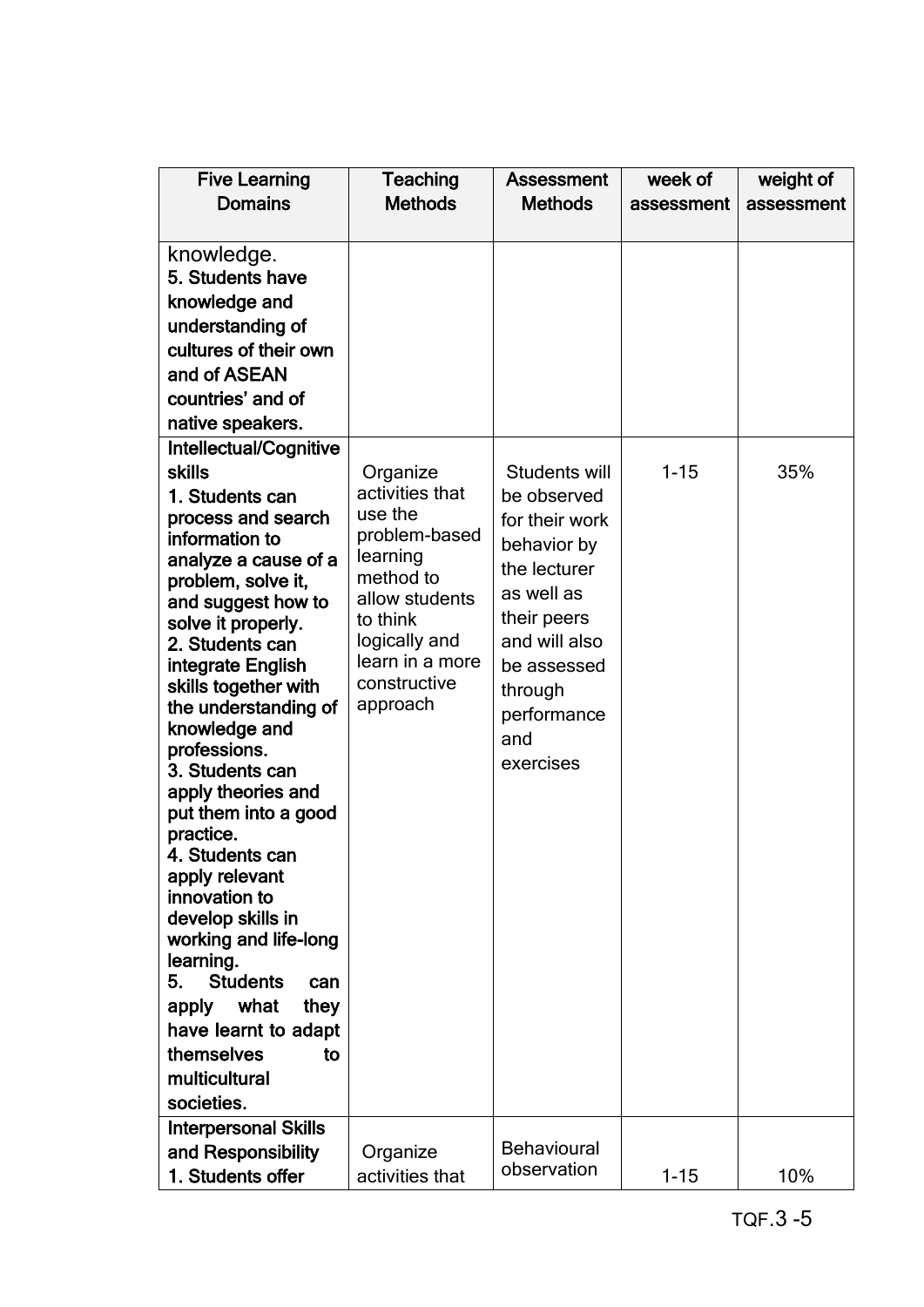| <b>Five Learning</b><br><b>Domains</b>                                                                                                                                                                                                                                                                                                                                                                                                                                                                                                                                                                                                                   | <b>Teaching</b><br><b>Methods</b>                                                                                                                                              | <b>Assessment</b><br><b>Methods</b>                                                                                                                                                      | week of<br>assessment | weight of<br>assessment |
|----------------------------------------------------------------------------------------------------------------------------------------------------------------------------------------------------------------------------------------------------------------------------------------------------------------------------------------------------------------------------------------------------------------------------------------------------------------------------------------------------------------------------------------------------------------------------------------------------------------------------------------------------------|--------------------------------------------------------------------------------------------------------------------------------------------------------------------------------|------------------------------------------------------------------------------------------------------------------------------------------------------------------------------------------|-----------------------|-------------------------|
|                                                                                                                                                                                                                                                                                                                                                                                                                                                                                                                                                                                                                                                          |                                                                                                                                                                                |                                                                                                                                                                                          |                       |                         |
| knowledge.<br>5. Students have<br>knowledge and<br>understanding of<br>cultures of their own<br>and of ASEAN<br>countries' and of<br>native speakers.                                                                                                                                                                                                                                                                                                                                                                                                                                                                                                    |                                                                                                                                                                                |                                                                                                                                                                                          |                       |                         |
| Intellectual/Cognitive<br><b>skills</b><br>1. Students can<br>process and search<br>information to<br>analyze a cause of a<br>problem, solve it,<br>and suggest how to<br>solve it properly.<br>2. Students can<br>integrate English<br>skills together with<br>the understanding of<br>knowledge and<br>professions.<br>3. Students can<br>apply theories and<br>put them into a good<br>practice.<br>4. Students can<br>apply relevant<br>innovation to<br>develop skills in<br>working and life-long<br>learning.<br><b>Students</b><br>5.<br>can<br>what<br>they<br>apply<br>have learnt to adapt<br>themselves<br>to<br>multicultural<br>societies. | Organize<br>activities that<br>use the<br>problem-based<br>learning<br>method to<br>allow students<br>to think<br>logically and<br>learn in a more<br>constructive<br>approach | Students will<br>be observed<br>for their work<br>behavior by<br>the lecturer<br>as well as<br>their peers<br>and will also<br>be assessed<br>through<br>performance<br>and<br>exercises | $1 - 15$              | 35%                     |
| <b>Interpersonal Skills</b><br>and Responsibility<br>1. Students offer                                                                                                                                                                                                                                                                                                                                                                                                                                                                                                                                                                                   | Organize<br>activities that                                                                                                                                                    | <b>Behavioural</b><br>observation                                                                                                                                                        | $1 - 15$              | 10%                     |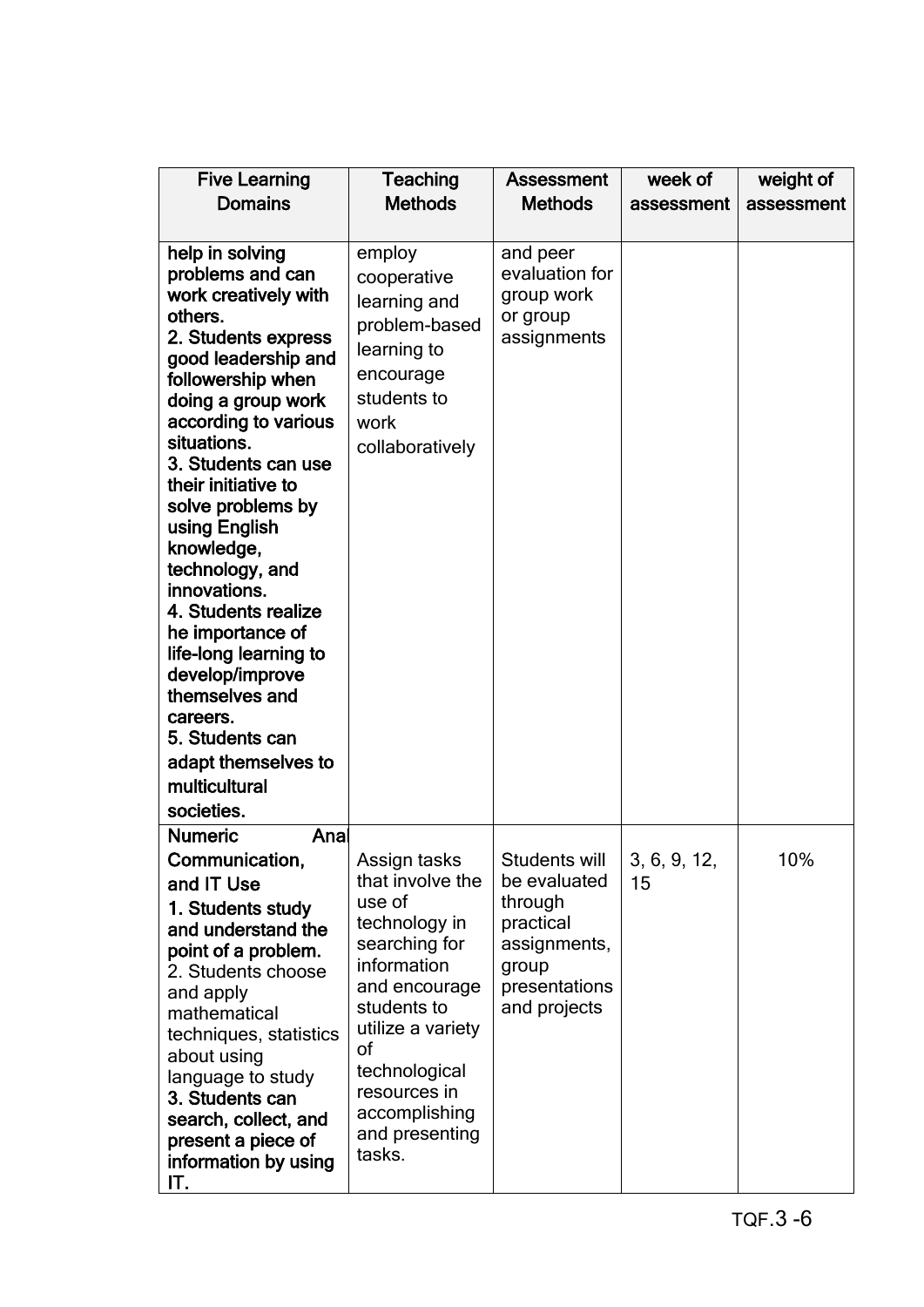| <b>Five Learning</b>                                                                                                                                                                                                                                                                                                                                                                                                                                                                                                                      | Teaching                                                                                                                                                                                                                             | <b>Assessment</b>                                                                                               | week of            | weight of  |
|-------------------------------------------------------------------------------------------------------------------------------------------------------------------------------------------------------------------------------------------------------------------------------------------------------------------------------------------------------------------------------------------------------------------------------------------------------------------------------------------------------------------------------------------|--------------------------------------------------------------------------------------------------------------------------------------------------------------------------------------------------------------------------------------|-----------------------------------------------------------------------------------------------------------------|--------------------|------------|
| <b>Domains</b>                                                                                                                                                                                                                                                                                                                                                                                                                                                                                                                            | <b>Methods</b>                                                                                                                                                                                                                       | <b>Methods</b>                                                                                                  | assessment         | assessment |
|                                                                                                                                                                                                                                                                                                                                                                                                                                                                                                                                           |                                                                                                                                                                                                                                      |                                                                                                                 |                    |            |
| help in solving<br>problems and can<br>work creatively with<br>others.<br>2. Students express<br>good leadership and<br>followership when<br>doing a group work<br>according to various<br>situations.<br>3. Students can use<br>their initiative to<br>solve problems by<br>using English<br>knowledge,<br>technology, and<br>innovations.<br>4. Students realize<br>he importance of<br>life-long learning to<br>develop/improve<br>themselves and<br>careers.<br>5. Students can<br>adapt themselves to<br>multicultural<br>societies. | employ<br>cooperative<br>learning and<br>problem-based<br>learning to<br>encourage<br>students to<br>work<br>collaboratively                                                                                                         | and peer<br>evaluation for<br>group work<br>or group<br>assignments                                             |                    |            |
| <b>Numeric</b><br>Anal                                                                                                                                                                                                                                                                                                                                                                                                                                                                                                                    |                                                                                                                                                                                                                                      |                                                                                                                 |                    |            |
| Communication,<br>and IT Use<br>1. Students study<br>and understand the<br>point of a problem.<br>2. Students choose<br>and apply<br>mathematical<br>techniques, statistics<br>about using<br>language to study<br>3. Students can<br>search, collect, and<br>present a piece of<br>information by using<br>IT.                                                                                                                                                                                                                           | Assign tasks<br>that involve the<br>use of<br>technology in<br>searching for<br>information<br>and encourage<br>students to<br>utilize a variety<br>οf<br>technological<br>resources in<br>accomplishing<br>and presenting<br>tasks. | Students will<br>be evaluated<br>through<br>practical<br>assignments,<br>group<br>presentations<br>and projects | 3, 6, 9, 12,<br>15 | 10%        |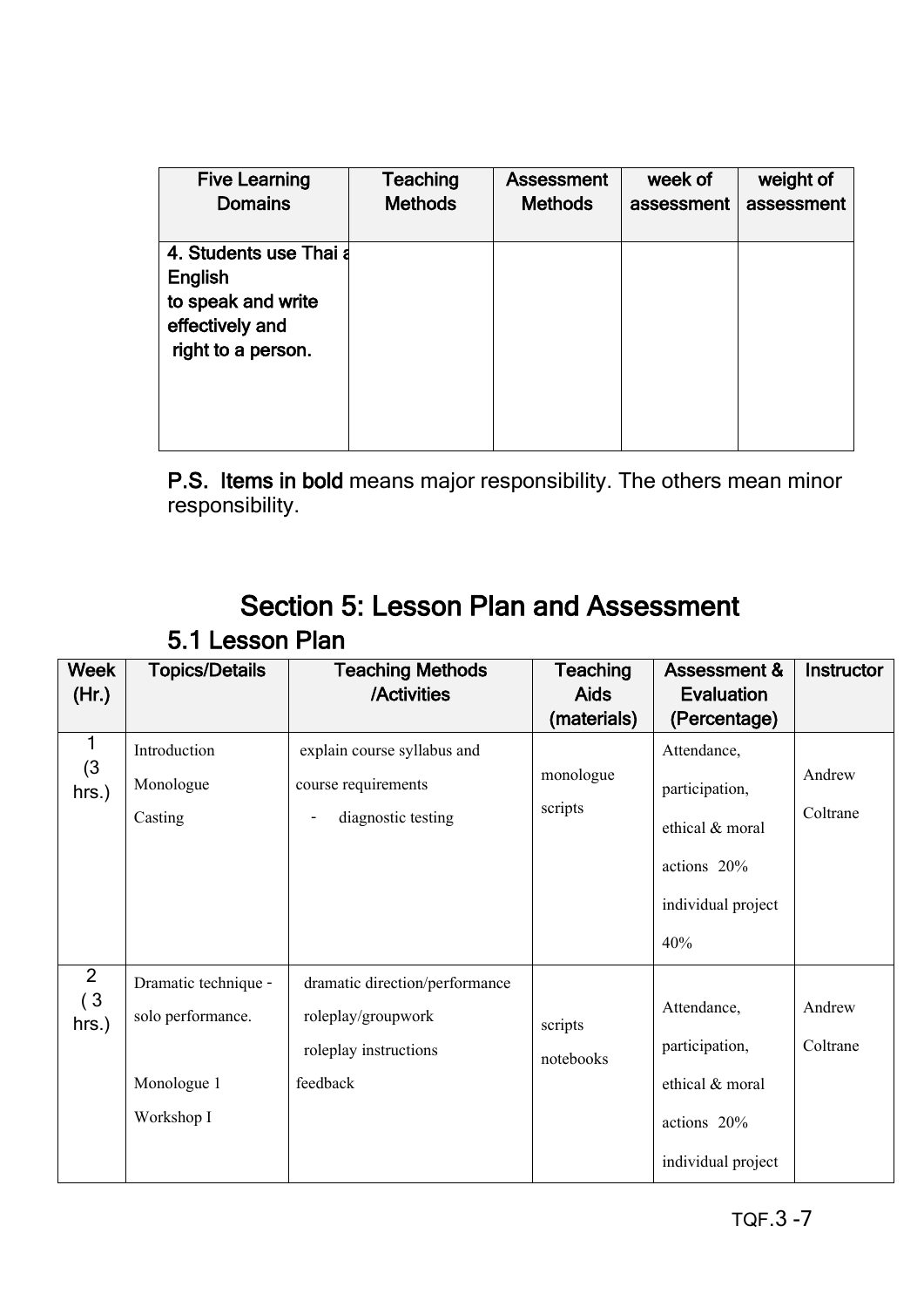| <b>Five Learning</b>                                                                                    | Teaching       | <b>Assessment</b> | week of    | weight of  |
|---------------------------------------------------------------------------------------------------------|----------------|-------------------|------------|------------|
| <b>Domains</b>                                                                                          | <b>Methods</b> | <b>Methods</b>    | assessment | assessment |
| 4. Students use Thai a<br><b>English</b><br>to speak and write<br>effectively and<br>right to a person. |                |                   |            |            |

P.S. Items in bold means major responsibility. The others mean minor responsibility.

# Section 5: Lesson Plan and Assessment 5.1 Lesson Plan

| <b>Week</b>    | <b>Topics/Details</b> | <b>Teaching Methods</b>                        | <b>Teaching</b> | Assessment &       | Instructor |
|----------------|-----------------------|------------------------------------------------|-----------------|--------------------|------------|
| (Hr.)          |                       | /Activities                                    | <b>Aids</b>     | <b>Evaluation</b>  |            |
|                |                       |                                                | (materials)     | (Percentage)       |            |
| 1<br>(3)       | Introduction          | explain course syllabus and                    |                 | Attendance,        |            |
| $hrs.$ )       | Monologue             | course requirements                            | monologue       | participation,     | Andrew     |
|                | Casting               | diagnostic testing<br>$\overline{\phantom{a}}$ | scripts         | ethical & moral    | Coltrane   |
|                |                       |                                                |                 | actions 20%        |            |
|                |                       |                                                |                 | individual project |            |
|                |                       |                                                |                 | 40%                |            |
| $\overline{2}$ | Dramatic technique -  | dramatic direction/performance                 |                 |                    |            |
| (3)<br>hrs.)   | solo performance.     | roleplay/groupwork                             | scripts         | Attendance,        | Andrew     |
|                |                       | roleplay instructions                          | notebooks       | participation,     | Coltrane   |
|                | Monologue 1           | feedback                                       |                 | ethical & moral    |            |
|                | Workshop I            |                                                |                 | actions 20%        |            |
|                |                       |                                                |                 | individual project |            |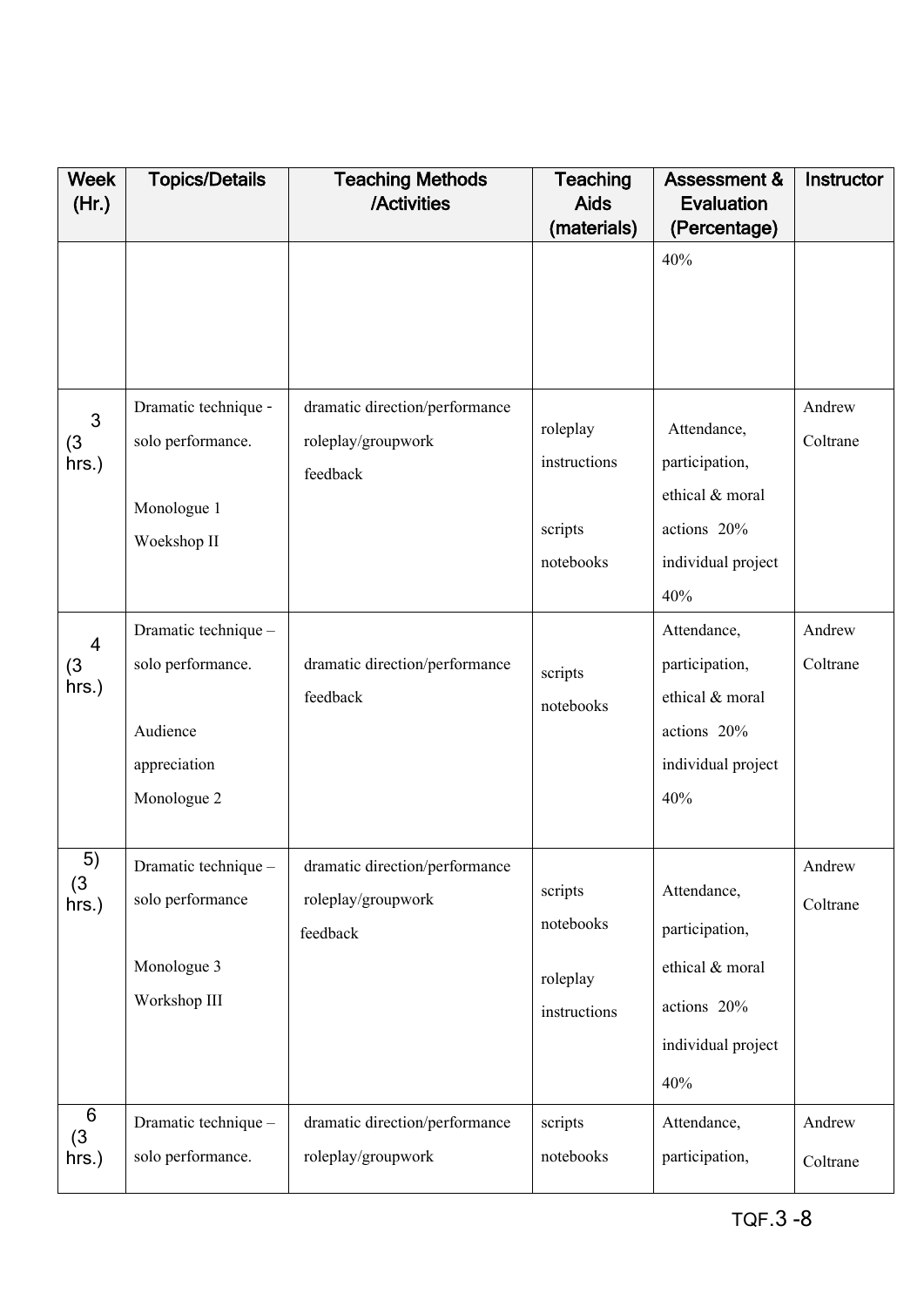| <b>Week</b><br>(Hr.)            | <b>Topics/Details</b>                                                                | <b>Teaching Methods</b><br>/Activities                           | <b>Teaching</b><br><b>Aids</b>                   | <b>Assessment &amp;</b><br><b>Evaluation</b>                                                 | Instructor         |
|---------------------------------|--------------------------------------------------------------------------------------|------------------------------------------------------------------|--------------------------------------------------|----------------------------------------------------------------------------------------------|--------------------|
|                                 |                                                                                      |                                                                  | (materials)                                      | (Percentage)                                                                                 |                    |
|                                 |                                                                                      |                                                                  |                                                  | 40%                                                                                          |                    |
| 3<br>(3)<br>hrs.)               | Dramatic technique -<br>solo performance.<br>Monologue 1<br>Woekshop II              | dramatic direction/performance<br>roleplay/groupwork<br>feedback | roleplay<br>instructions<br>scripts<br>notebooks | Attendance,<br>participation,<br>ethical & moral<br>actions 20%<br>individual project<br>40% | Andrew<br>Coltrane |
| $\overline{4}$<br>(3)<br>hrs.)  | Dramatic technique -<br>solo performance.<br>Audience<br>appreciation<br>Monologue 2 | dramatic direction/performance<br>feedback                       | scripts<br>notebooks                             | Attendance,<br>participation,<br>ethical & moral<br>actions 20%<br>individual project<br>40% | Andrew<br>Coltrane |
| 5)<br>(3)<br>hrs.)              | Dramatic technique -<br>solo performance<br>Monologue 3<br>Workshop III              | dramatic direction/performance<br>roleplay/groupwork<br>feedback | scripts<br>notebooks<br>roleplay<br>instructions | Attendance,<br>participation,<br>ethical & moral<br>actions 20%<br>individual project<br>40% | Andrew<br>Coltrane |
| $6\phantom{1}6$<br>(3)<br>hrs.) | Dramatic technique -<br>solo performance.                                            | dramatic direction/performance<br>roleplay/groupwork             | scripts<br>notebooks                             | Attendance,<br>participation,                                                                | Andrew<br>Coltrane |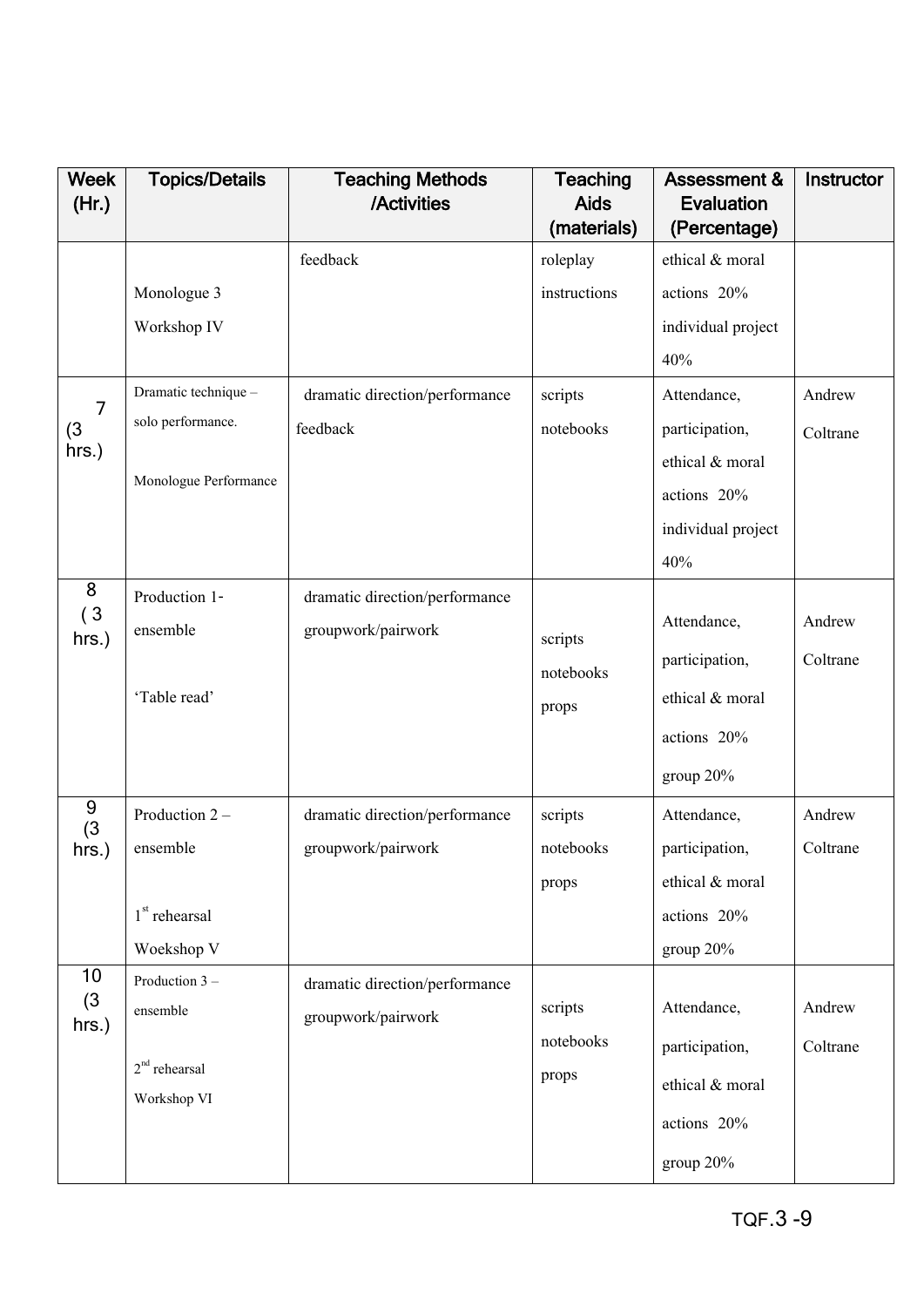| <b>Week</b>    | <b>Topics/Details</b> | <b>Teaching Methods</b>        | <b>Teaching</b>            | <b>Assessment &amp;</b>           | Instructor |
|----------------|-----------------------|--------------------------------|----------------------------|-----------------------------------|------------|
| (Hr.)          |                       | /Activities                    | <b>Aids</b><br>(materials) | <b>Evaluation</b><br>(Percentage) |            |
|                |                       | feedback                       | roleplay                   | ethical & moral                   |            |
|                | Monologue 3           |                                | instructions               | actions 20%                       |            |
|                | Workshop IV           |                                |                            | individual project                |            |
|                |                       |                                |                            | 40%                               |            |
| $\overline{7}$ | Dramatic technique -  | dramatic direction/performance | scripts                    | Attendance,                       | Andrew     |
| (3)            | solo performance.     | feedback                       | notebooks                  | participation,                    | Coltrane   |
| hrs.)          |                       |                                |                            | ethical & moral                   |            |
|                | Monologue Performance |                                |                            | actions 20%                       |            |
|                |                       |                                |                            | individual project                |            |
|                |                       |                                |                            | 40%                               |            |
| 8              | Production 1-         | dramatic direction/performance |                            |                                   |            |
| (3)<br>hrs.)   | ensemble              | groupwork/pairwork             | scripts                    | Attendance,                       | Andrew     |
|                |                       |                                | notebooks                  | participation,                    | Coltrane   |
|                | 'Table read'          |                                | props                      | ethical & moral                   |            |
|                |                       |                                |                            | actions 20%                       |            |
|                |                       |                                |                            | group 20%                         |            |
| 9<br>(3)       | Production 2-         | dramatic direction/performance | scripts                    | Attendance,                       | Andrew     |
| hrs.)          | ensemble              | groupwork/pairwork             | notebooks                  | participation,                    | Coltrane   |
|                |                       |                                | props                      | ethical & moral                   |            |
|                | $1st$ rehearsal       |                                |                            | actions 20%                       |            |
|                | Woekshop V            |                                |                            | group 20%                         |            |
| 10             | Production 3 -        | dramatic direction/performance |                            |                                   |            |
| (3)<br>hrs.)   | ensemble              | groupwork/pairwork             | scripts                    | Attendance,                       | Andrew     |
|                |                       |                                | notebooks                  | participation,                    | Coltrane   |
|                | $2nd$ rehearsal       |                                | props                      | ethical & moral                   |            |
|                | Workshop VI           |                                |                            | actions 20%                       |            |
|                |                       |                                |                            | group 20%                         |            |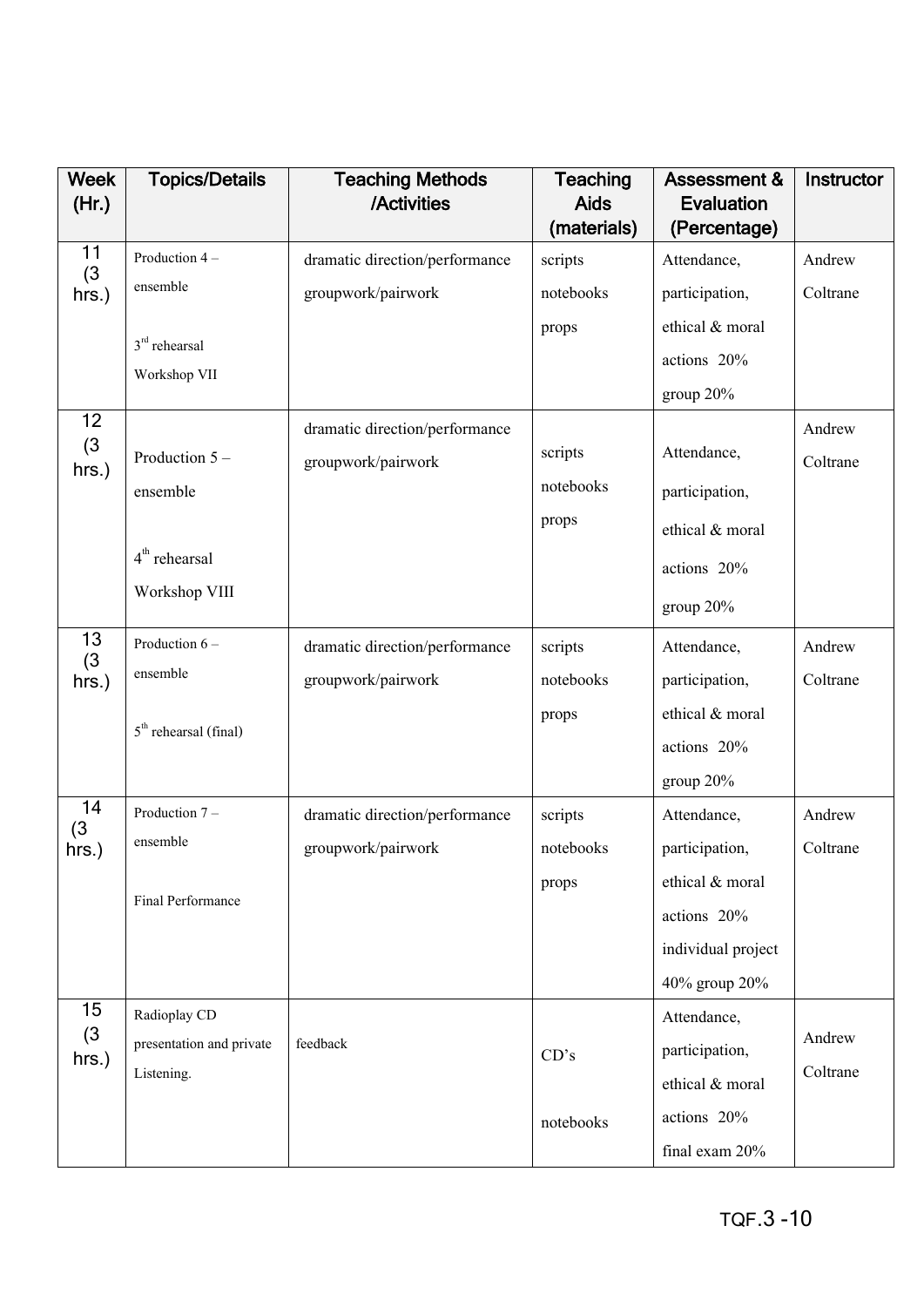| <b>Week</b><br>(Hr.) | <b>Topics/Details</b>    | <b>Teaching Methods</b><br>/Activities | <b>Teaching</b><br><b>Aids</b> | <b>Assessment &amp;</b><br><b>Evaluation</b> | Instructor |
|----------------------|--------------------------|----------------------------------------|--------------------------------|----------------------------------------------|------------|
|                      |                          |                                        | (materials)                    | (Percentage)                                 |            |
| 11<br>(3)            | Production 4-            | dramatic direction/performance         | scripts                        | Attendance,                                  | Andrew     |
| hrs.)                | ensemble                 | groupwork/pairwork                     | notebooks                      | participation,                               | Coltrane   |
|                      | $3rd$ rehearsal          |                                        | props                          | ethical & moral                              |            |
|                      | Workshop VII             |                                        |                                | actions 20%                                  |            |
|                      |                          |                                        |                                | group 20%                                    |            |
| 12<br>(3)            |                          | dramatic direction/performance         |                                |                                              | Andrew     |
| hrs.)                | Production 5-            | groupwork/pairwork                     | scripts                        | Attendance,                                  | Coltrane   |
|                      | ensemble                 |                                        | notebooks                      | participation,                               |            |
|                      |                          |                                        | props                          | ethical & moral                              |            |
|                      | $4th$ rehearsal          |                                        |                                | actions 20%                                  |            |
|                      | Workshop VIII            |                                        |                                | group 20%                                    |            |
| 13<br>(3)            | Production 6-            | dramatic direction/performance         | scripts                        | Attendance,                                  | Andrew     |
| hrs.)                | ensemble                 | groupwork/pairwork                     | notebooks                      | participation,                               | Coltrane   |
|                      | $5th$ rehearsal (final)  |                                        | props                          | ethical & moral                              |            |
|                      |                          |                                        |                                | actions 20%                                  |            |
|                      |                          |                                        |                                | group 20%                                    |            |
| 14<br>(3)            | Production 7-            | dramatic direction/performance         | scripts                        | Attendance,                                  | Andrew     |
| $hrs.$ )             | ensemble                 | groupwork/pairwork                     | notebooks                      | participation,                               | Coltrane   |
|                      |                          |                                        | props                          | ethical & moral                              |            |
|                      | Final Performance        |                                        |                                | actions 20%                                  |            |
|                      |                          |                                        |                                | individual project                           |            |
|                      |                          |                                        |                                | 40% group 20%                                |            |
| 15                   | Radioplay CD             |                                        |                                | Attendance,                                  |            |
| (3)<br>hrs.)         | presentation and private | feedback                               | CD's                           | participation,                               | Andrew     |
|                      | Listening.               |                                        |                                | ethical & moral                              | Coltrane   |
|                      |                          |                                        | notebooks                      | actions 20%                                  |            |
|                      |                          |                                        |                                | final exam 20%                               |            |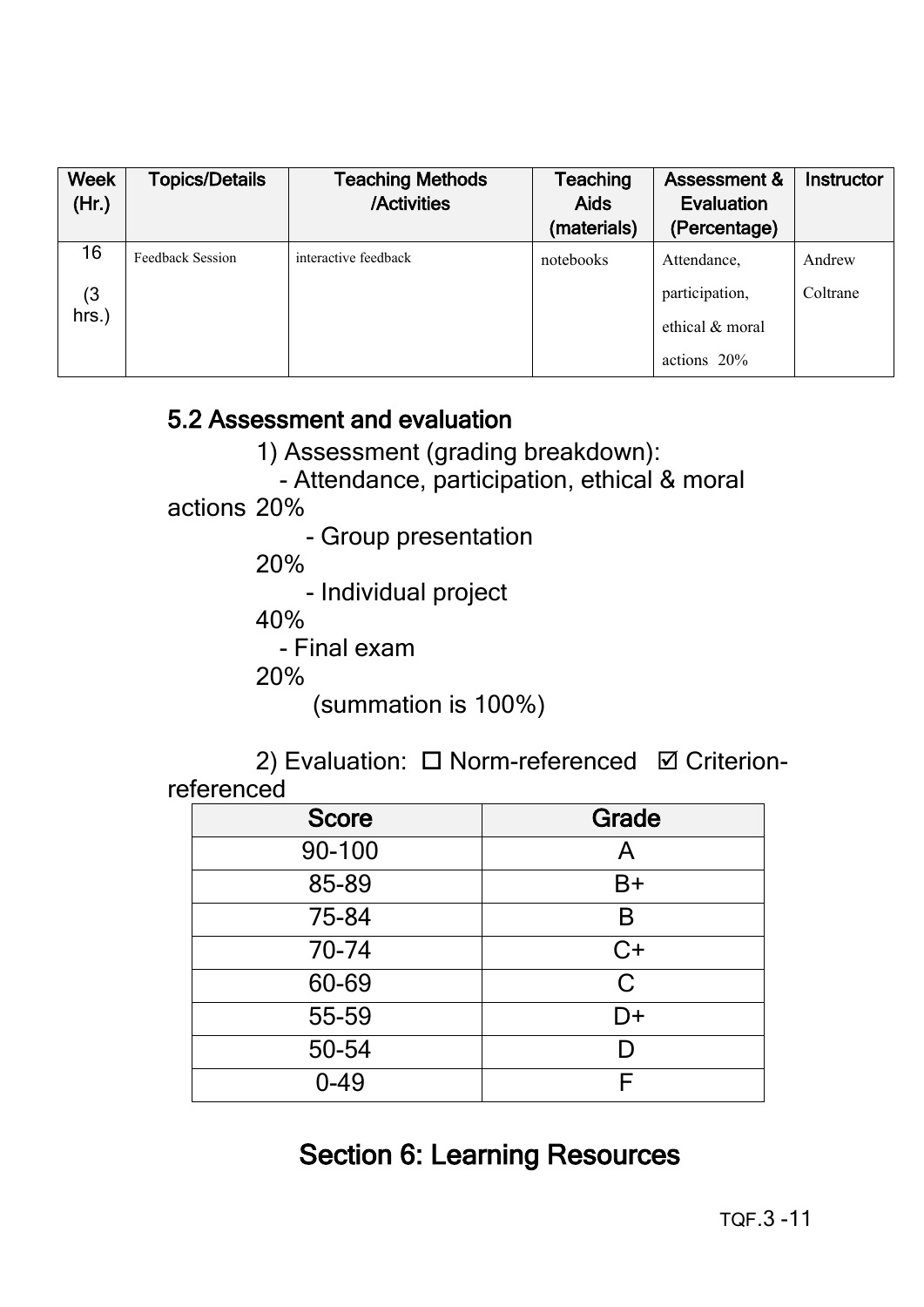| <b>Week</b><br>(Hr.) | <b>Topics/Details</b> | <b>Teaching Methods</b><br>/Activities | <b>Teaching</b><br><b>Aids</b><br>(materials) | <b>Assessment &amp;</b><br>Evaluation<br>(Percentage) | Instructor |
|----------------------|-----------------------|----------------------------------------|-----------------------------------------------|-------------------------------------------------------|------------|
| 16                   | Feedback Session      | interactive feedback                   | notebooks                                     | Attendance,                                           | Andrew     |
| (3)                  |                       |                                        |                                               | participation,                                        | Coltrane   |
| $hrs.$ )             |                       |                                        |                                               | ethical & moral                                       |            |
|                      |                       |                                        |                                               | actions $20\%$                                        |            |

### 5.2 Assessment and evaluation

1) Assessment (grading breakdown):

- Attendance, participation, ethical & moral

#### actions 20%

- Group presentation

20%

- Individual project

40%

- Final exam

20%

(summation is 100%)

2) Evaluation: □ Norm-referenced Ø Criterionreferenced

| <b>Score</b> | <b>Grade</b> |
|--------------|--------------|
| 90-100       | A            |
| 85-89        | $B+$         |
| 75-84        | B            |
| 70-74        | C+           |
| 60-69        | $\mathsf{C}$ |
| 55-59        | D+           |
| 50-54        |              |
| $0 - 49$     |              |

# Section 6: Learning Resources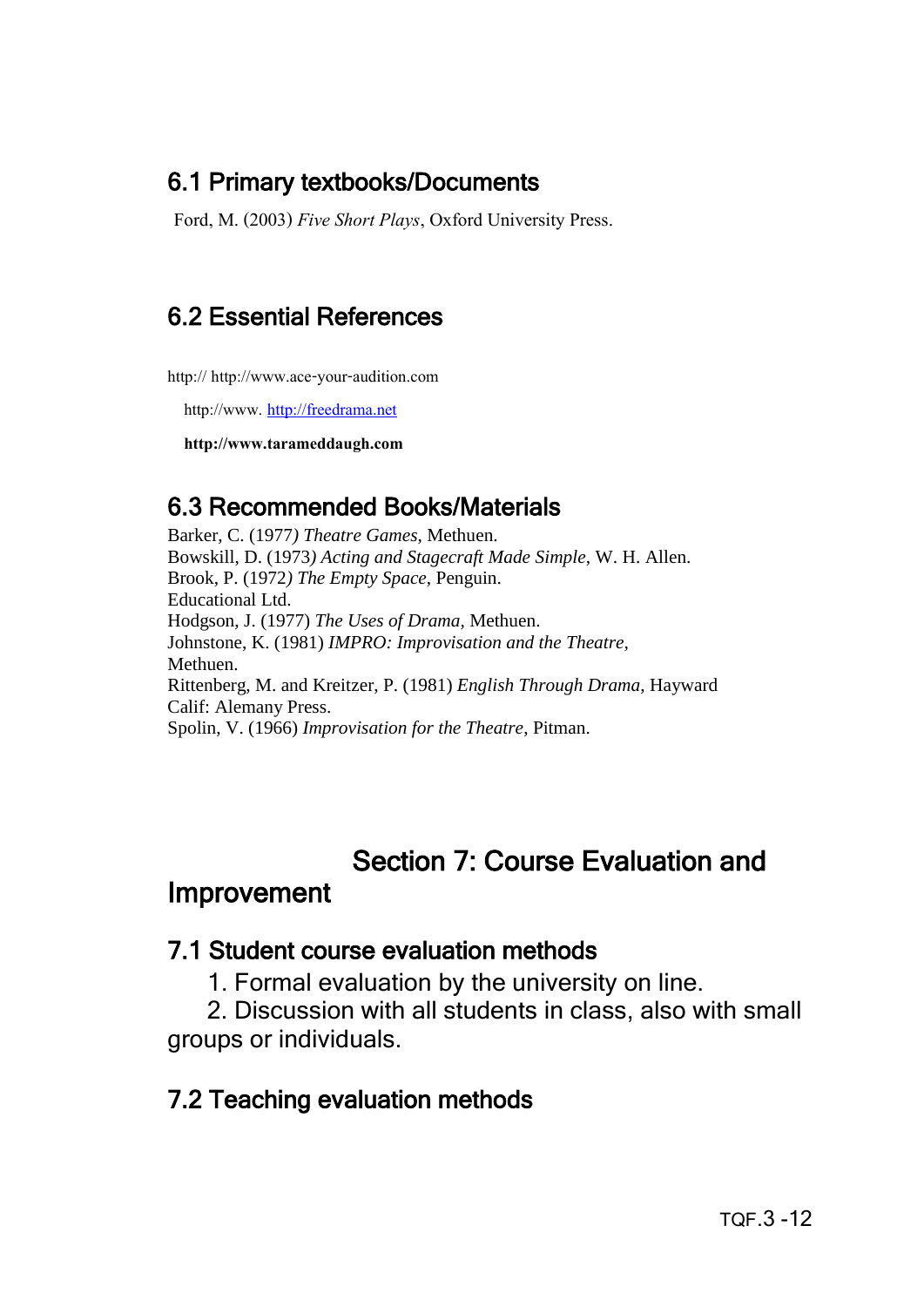### 6.1 Primary textbooks/Documents

Ford, M. (2003) *Five Short Plays*, Oxford University Press.

# 6.2 Essential References

http:// http://www.ace-your-audition.com

http://www. [http://freedrama.net](http://freedrama.net/)

 **http://www.tarameddaugh.com**

### 6.3 Recommended Books/Materials

Barker, C. (1977*) Theatre Games*, Methuen. Bowskill, D. (1973*) Acting and Stagecraft Made Simple*, W. H. Allen. Brook, P. (1972*) The Empty Space*, Penguin. Educational Ltd. Hodgson, J. (1977) *The Uses of Drama*, Methuen. Johnstone, K. (1981) *IMPRO: Improvisation and the Theatre,* Methuen. Rittenberg, M. and Kreitzer, P. (1981) *English Through Drama*, Hayward Calif: Alemany Press. Spolin, V. (1966) *Improvisation for the Theatre*, Pitman.

# Section 7: Course Evaluation and

### Improvement

#### 7.1 Student course evaluation methods

1. Formal evaluation by the university on line.

 2. Discussion with all students in class, also with small groups or individuals.

### 7.2 Teaching evaluation methods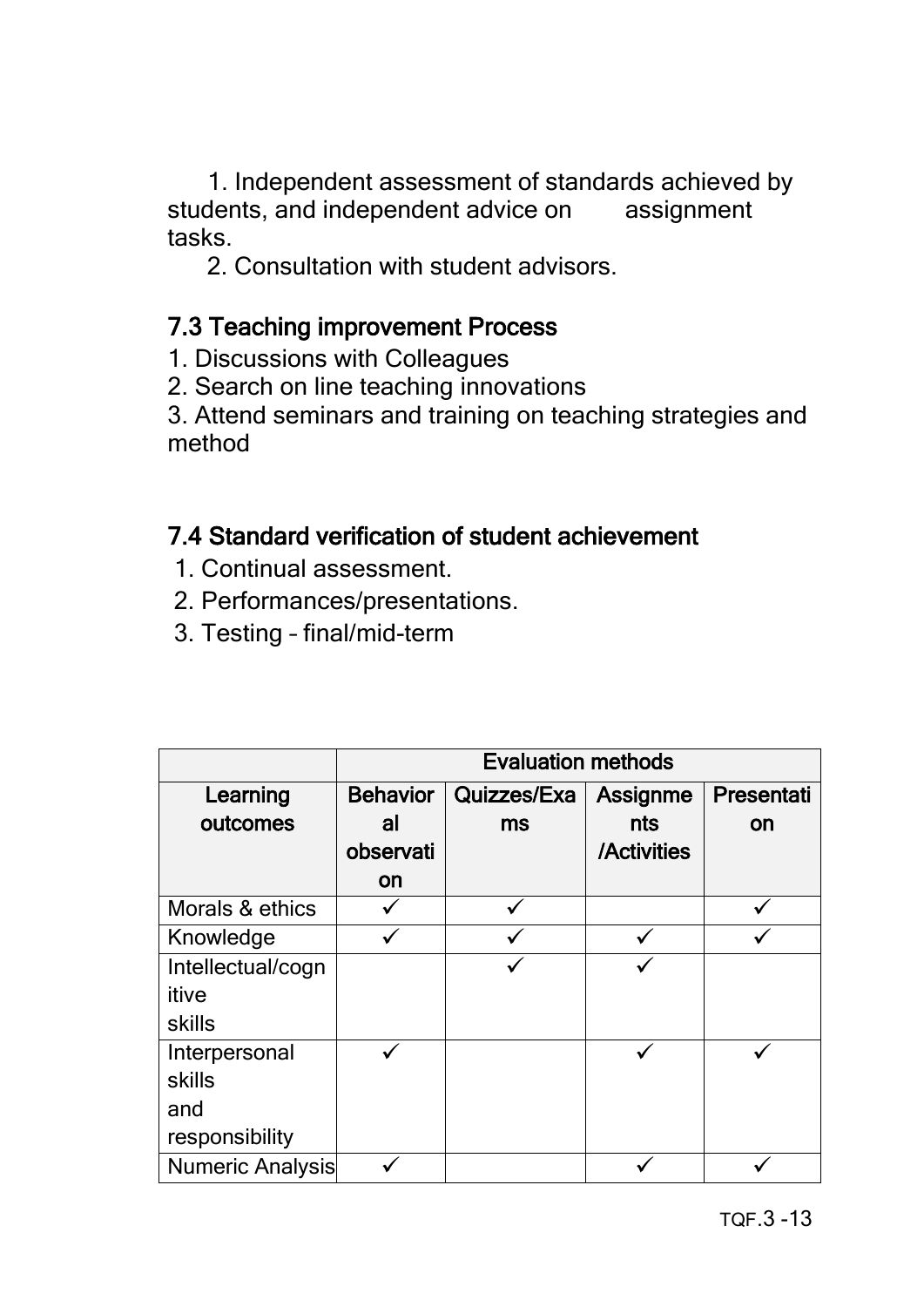1. Independent assessment of standards achieved by students, and independent advice on assignment tasks.

2. Consultation with student advisors.

# 7.3 Teaching improvement Process

1. Discussions with Colleagues

2. Search on line teaching innovations

3. Attend seminars and training on teaching strategies and method

# 7.4 Standard verification of student achievement

- 1. Continual assessment.
- 2. Performances/presentations.
- 3. Testing final/mid-term

|                   | <b>Evaluation methods</b> |             |             |            |  |
|-------------------|---------------------------|-------------|-------------|------------|--|
| Learning          | <b>Behavior</b>           | Quizzes/Exa | Assignme    | Presentati |  |
| outcomes          | al                        | ms          | nts         | on         |  |
|                   | observati                 |             | /Activities |            |  |
|                   | on                        |             |             |            |  |
| Morals & ethics   |                           |             |             |            |  |
| Knowledge         |                           |             |             |            |  |
| Intellectual/cogn |                           |             |             |            |  |
| itive             |                           |             |             |            |  |
| skills            |                           |             |             |            |  |
| Interpersonal     |                           |             |             |            |  |
| skills            |                           |             |             |            |  |
| and               |                           |             |             |            |  |
| responsibility    |                           |             |             |            |  |
| Numeric Analysis  |                           |             |             |            |  |